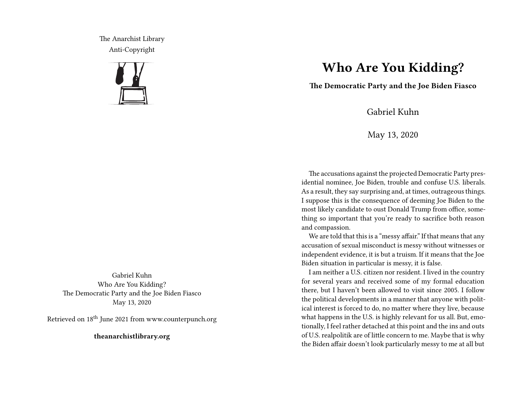The Anarchist Library Anti-Copyright



Gabriel Kuhn Who Are You Kidding? The Democratic Party and the Joe Biden Fiasco May 13, 2020

Retrieved on 18th June 2021 from www.counterpunch.org

**theanarchistlibrary.org**

## **Who Are You Kidding?**

**The Democratic Party and the Joe Biden Fiasco**

Gabriel Kuhn

May 13, 2020

The accusations against the projected Democratic Party presidential nominee, Joe Biden, trouble and confuse U.S. liberals. As a result, they say surprising and, at times, outrageous things. I suppose this is the consequence of deeming Joe Biden to the most likely candidate to oust Donald Trump from office, something so important that you're ready to sacrifice both reason and compassion.

We are told that this is a "messy affair." If that means that any accusation of sexual misconduct is messy without witnesses or independent evidence, it is but a truism. If it means that the Joe Biden situation in particular is messy, it is false.

I am neither a U.S. citizen nor resident. I lived in the country for several years and received some of my formal education there, but I haven't been allowed to visit since 2005. I follow the political developments in a manner that anyone with political interest is forced to do, no matter where they live, because what happens in the U.S. is highly relevant for us all. But, emotionally, I feel rather detached at this point and the ins and outs of U.S. realpolitik are of little concern to me. Maybe that is why the Biden affair doesn't look particularly messy to me at all but